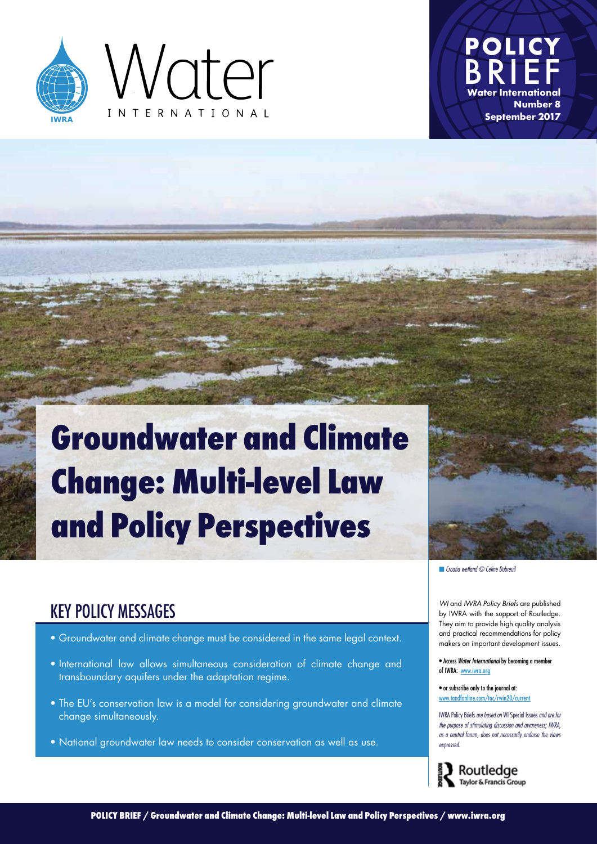



# **Groundwater and Climate Change: Multi-level Law and Policy Perspectives**



KEY POLICY MESSAGES *WI* and *IWRA Policy Briefs* are published by IWRA with the support of Routledge. They aim to provide high quality analysis and practical recommendations for policy makers on important development issues.

> • Access *Water International* by becoming a member of IWRA: [www.iwra.org](http://www.iwra.org/index.php?mainpage=164&page=203&subpage=)

• or subscribe only to the journal at: [www.tandfonline.com/toc/rwin20/current](http://www.tandfonline.com/toc/rwin20/current)

IWRA Policy Briefs *are based on* WI Special Issues *and are for the purpose of stimulating discussion and awareness; IWRA, as a neutral forum, does not necessarily endorse the views expressed.*



- Groundwater and climate change must be considered in the same legal context.
- International law allows simultaneous consideration of climate change and transboundary aquifers under the adaptation regime.
- The EU's conservation law is a model for considering groundwater and climate change simultaneously.
- National groundwater law needs to consider conservation as well as use.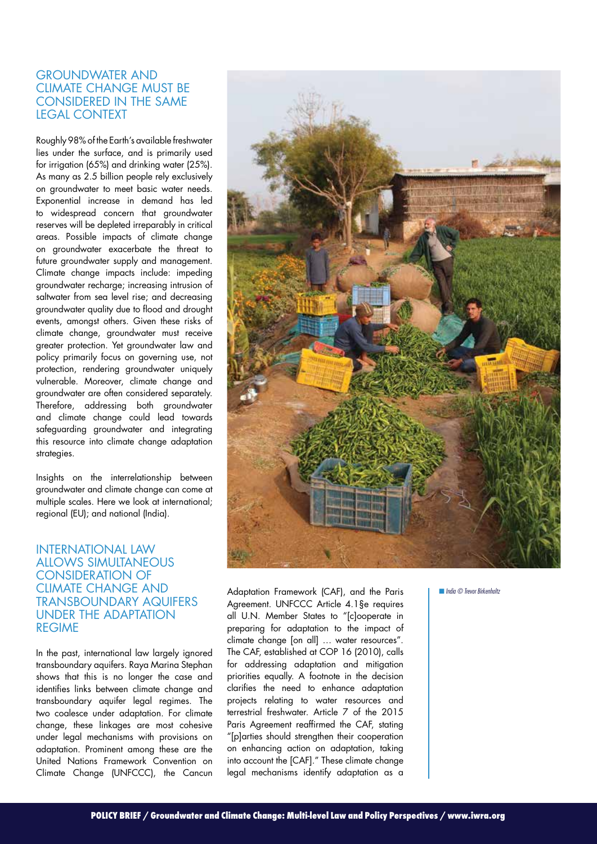### Groundwater and climate change must be considered in the same legal context

Roughly 98% of the Earth's available freshwater lies under the surface, and is primarily used for irrigation (65%) and drinking water (25%). As many as 2.5 billion people rely exclusively on groundwater to meet basic water needs. Exponential increase in demand has led to widespread concern that groundwater reserves will be depleted irreparably in critical areas. Possible impacts of climate change on groundwater exacerbate the threat to future groundwater supply and management. Climate change impacts include: impeding groundwater recharge; increasing intrusion of saltwater from sea level rise; and decreasing groundwater quality due to flood and drought events, amongst others. Given these risks of climate change, groundwater must receive greater protection. Yet groundwater law and policy primarily focus on governing use, not protection, rendering groundwater uniquely vulnerable. Moreover, climate change and groundwater are often considered separately. Therefore, addressing both groundwater and climate change could lead towards safeguarding groundwater and integrating this resource into climate change adaptation strategies.

Insights on the interrelationship between groundwater and climate change can come at multiple scales. Here we look at international; regional (EU); and national (India).

#### International law allows simultaneous consideration of climate change and transboundary aquifers under the adaptation **REGIME**

In the past, international law largely ignored transboundary aquifers. Raya Marina Stephan shows that this is no longer the case and identifies links between climate change and transboundary aquifer legal regimes. The two coalesce under adaptation. For climate change, these linkages are most cohesive under legal mechanisms with provisions on adaptation. Prominent among these are the United Nations Framework Convention on Climate Change (UNFCCC), the Cancun



Adaptation Framework (CAF), and the Paris Agreement. UNFCCC Article 4.1§e requires all U.N. Member States to "[c]ooperate in preparing for adaptation to the impact of climate change [on all] … water resources". The CAF, established at COP 16 (2010), calls for addressing adaptation and mitigation priorities equally. A footnote in the decision clarifies the need to enhance adaptation projects relating to water resources and terrestrial freshwater. Article 7 of the 2015 Paris Agreement reaffirmed the CAF, stating "[p]arties should strengthen their cooperation on enhancing action on adaptation, taking into account the [CAF]." These climate change legal mechanisms identify adaptation as a

■ *India © Trevor Birkenholtz*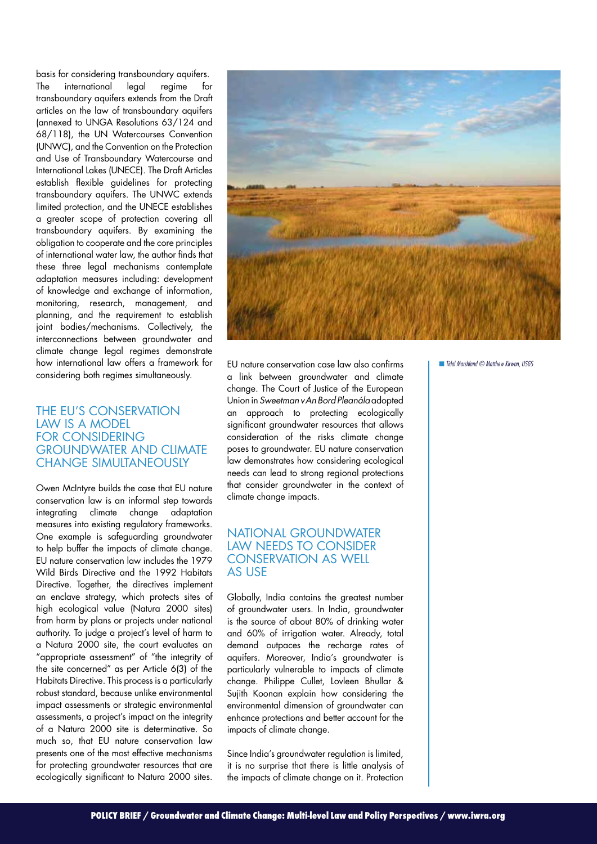basis for considering transboundary aquifers. The international legal regime for transboundary aquifers extends from the Draft articles on the law of transboundary aquifers (annexed to UNGA Resolutions 63/124 and 68/118), the UN Watercourses Convention (UNWC), and the Convention on the Protection and Use of Transboundary Watercourse and International Lakes (UNECE). The Draft Articles establish flexible guidelines for protecting transboundary aquifers. The UNWC extends limited protection, and the UNECE establishes a greater scope of protection covering all transboundary aquifers. By examining the obligation to cooperate and the core principles of international water law, the author finds that these three legal mechanisms contemplate adaptation measures including: development of knowledge and exchange of information, monitoring, research, management, and planning, and the requirement to establish joint bodies/mechanisms. Collectively, the interconnections between groundwater and climate change legal regimes demonstrate how international law offers a framework for considering both regimes simultaneously.

#### The EU's conservation law is a model for considering groundwater and climate change simultaneously

Owen McIntyre builds the case that EU nature conservation law is an informal step towards integrating climate change adaptation measures into existing regulatory frameworks. One example is safeguarding groundwater to help buffer the impacts of climate change. EU nature conservation law includes the 1979 Wild Birds Directive and the 1992 Habitats Directive. Together, the directives implement an enclave strategy, which protects sites of high ecological value (Natura 2000 sites) from harm by plans or projects under national authority. To judge a project's level of harm to a Natura 2000 site, the court evaluates an "appropriate assessment" of "the integrity of the site concerned" as per Article 6(3) of the Habitats Directive. This process is a particularly robust standard, because unlike environmental impact assessments or strategic environmental assessments, a project's impact on the integrity of a Natura 2000 site is determinative. So much so, that EU nature conservation law presents one of the most effective mechanisms for protecting groundwater resources that are ecologically significant to Natura 2000 sites.



EU nature conservation case law also confirms a link between groundwater and climate change. The Court of Justice of the European Union in *Sweetman v An Bord Pleanála* adopted an approach to protecting ecologically significant groundwater resources that allows consideration of the risks climate change poses to groundwater. EU nature conservation law demonstrates how considering ecological needs can lead to strong regional protections that consider groundwater in the context of climate change impacts.

## National groundwater law needs to consider conservation as well as use

Globally, India contains the greatest number of groundwater users. In India, groundwater is the source of about 80% of drinking water and 60% of irrigation water. Already, total demand outpaces the recharge rates of aquifers. Moreover, India's groundwater is particularly vulnerable to impacts of climate change. Philippe Cullet, Lovleen Bhullar & Sujith Koonan explain how considering the environmental dimension of groundwater can enhance protections and better account for the impacts of climate change.

Since India's groundwater regulation is limited, it is no surprise that there is little analysis of the impacts of climate change on it. Protection

■ *Tidal Marshland © Matthew Kirwan, USGS*